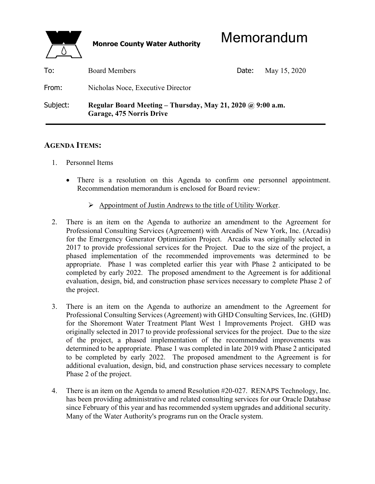

| To:      | <b>Board Members</b>                                                                          | Date: | May 15, 2020 |
|----------|-----------------------------------------------------------------------------------------------|-------|--------------|
| From:    | Nicholas Noce, Executive Director                                                             |       |              |
| Subject: | Regular Board Meeting – Thursday, May 21, 2020 $\omega$ 9:00 a.m.<br>Garage, 475 Norris Drive |       |              |

## **AGENDA ITEMS:**

- 1. Personnel Items
	- There is a resolution on this Agenda to confirm one personnel appointment. Recommendation memorandum is enclosed for Board review:
		- $\triangleright$  Appointment of Justin Andrews to the title of Utility Worker.
- 2. There is an item on the Agenda to authorize an amendment to the Agreement for Professional Consulting Services (Agreement) with Arcadis of New York, Inc. (Arcadis) for the Emergency Generator Optimization Project. Arcadis was originally selected in 2017 to provide professional services for the Project. Due to the size of the project, a phased implementation of the recommended improvements was determined to be appropriate. Phase 1 was completed earlier this year with Phase 2 anticipated to be completed by early 2022. The proposed amendment to the Agreement is for additional evaluation, design, bid, and construction phase services necessary to complete Phase 2 of the project.
- 3. There is an item on the Agenda to authorize an amendment to the Agreement for Professional Consulting Services (Agreement) with GHD Consulting Services, Inc. (GHD) for the Shoremont Water Treatment Plant West 1 Improvements Project. GHD was originally selected in 2017 to provide professional services for the project. Due to the size of the project, a phased implementation of the recommended improvements was determined to be appropriate. Phase 1 was completed in late 2019 with Phase 2 anticipated to be completed by early 2022. The proposed amendment to the Agreement is for additional evaluation, design, bid, and construction phase services necessary to complete Phase 2 of the project.
- 4. There is an item on the Agenda to amend Resolution #20-027. RENAPS Technology, Inc. has been providing administrative and related consulting services for our Oracle Database since February of this year and has recommended system upgrades and additional security. Many of the Water Authority's programs run on the Oracle system.